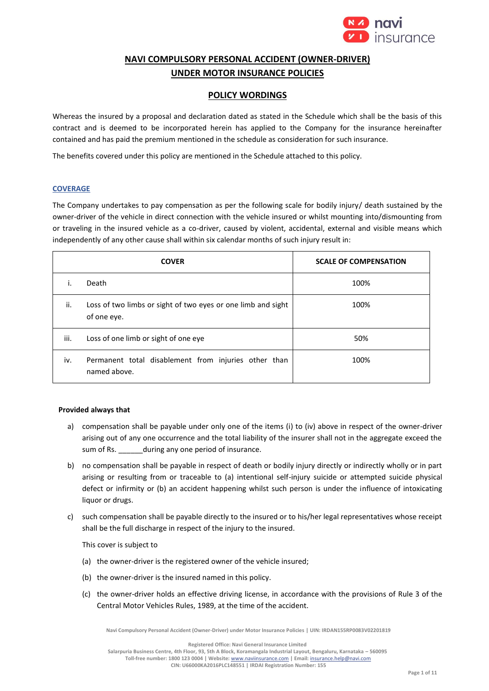

# **NAVI COMPULSORY PERSONAL ACCIDENT (OWNER-DRIVER) UNDER MOTOR INSURANCE POLICIES**

## **POLICY WORDINGS**

Whereas the insured by a proposal and declaration dated as stated in the Schedule which shall be the basis of this contract and is deemed to be incorporated herein has applied to the Company for the insurance hereinafter contained and has paid the premium mentioned in the schedule as consideration for such insurance.

The benefits covered under this policy are mentioned in the Schedule attached to this policy.

## **COVERAGE**

The Company undertakes to pay compensation as per the following scale for bodily injury/ death sustained by the owner-driver of the vehicle in direct connection with the vehicle insured or whilst mounting into/dismounting from or traveling in the insured vehicle as a co-driver, caused by violent, accidental, external and visible means which independently of any other cause shall within six calendar months of such injury result in:

|      | <b>COVER</b>                                                                | <b>SCALE OF COMPENSATION</b> |
|------|-----------------------------------------------------------------------------|------------------------------|
| ۱.   | Death                                                                       | 100%                         |
| ii.  | Loss of two limbs or sight of two eyes or one limb and sight<br>of one eye. | 100%                         |
| iii. | Loss of one limb or sight of one eye                                        | 50%                          |
| iv.  | Permanent total disablement from injuries other than<br>named above.        | 100%                         |

## **Provided always that**

- a) compensation shall be payable under only one of the items (i) to (iv) above in respect of the owner-driver arising out of any one occurrence and the total liability of the insurer shall not in the aggregate exceed the sum of Rs. \_\_\_\_\_\_during any one period of insurance.
- b) no compensation shall be payable in respect of death or bodily injury directly or indirectly wholly or in part arising or resulting from or traceable to (a) intentional self-injury suicide or attempted suicide physical defect or infirmity or (b) an accident happening whilst such person is under the influence of intoxicating liquor or drugs.
- c) such compensation shall be payable directly to the insured or to his/her legal representatives whose receipt shall be the full discharge in respect of the injury to the insured.

This cover is subject to

- (a) the owner-driver is the registered owner of the vehicle insured;
- (b) the owner-driver is the insured named in this policy.
- (c) the owner-driver holds an effective driving license, in accordance with the provisions of Rule 3 of the Central Motor Vehicles Rules, 1989, at the time of the accident.

**Navi Compulsory Personal Accident (Owner-Driver) under Motor Insurance Policies | UIN: IRDAN155RP0083V02201819**

**Registered Office: Navi General Insurance Limited**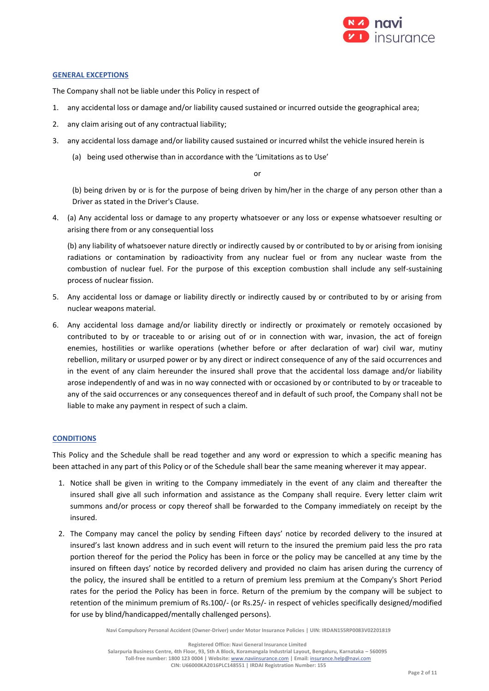

## **GENERAL EXCEPTIONS**

The Company shall not be liable under this Policy in respect of

- 1. any accidental loss or damage and/or liability caused sustained or incurred outside the geographical area;
- 2. any claim arising out of any contractual liability;
- 3. any accidental loss damage and/or liability caused sustained or incurred whilst the vehicle insured herein is
	- (a) being used otherwise than in accordance with the 'Limitations as to Use'

#### or

(b) being driven by or is for the purpose of being driven by him/her in the charge of any person other than a Driver as stated in the Driver's Clause.

4. (a) Any accidental loss or damage to any property whatsoever or any loss or expense whatsoever resulting or arising there from or any consequential loss

(b) any liability of whatsoever nature directly or indirectly caused by or contributed to by or arising from ionising radiations or contamination by radioactivity from any nuclear fuel or from any nuclear waste from the combustion of nuclear fuel. For the purpose of this exception combustion shall include any self-sustaining process of nuclear fission.

- 5. Any accidental loss or damage or liability directly or indirectly caused by or contributed to by or arising from nuclear weapons material.
- 6. Any accidental loss damage and/or liability directly or indirectly or proximately or remotely occasioned by contributed to by or traceable to or arising out of or in connection with war, invasion, the act of foreign enemies, hostilities or warlike operations (whether before or after declaration of war) civil war, mutiny rebellion, military or usurped power or by any direct or indirect consequence of any of the said occurrences and in the event of any claim hereunder the insured shall prove that the accidental loss damage and/or liability arose independently of and was in no way connected with or occasioned by or contributed to by or traceable to any of the said occurrences or any consequences thereof and in default of such proof, the Company shall not be liable to make any payment in respect of such a claim.

## **CONDITIONS**

This Policy and the Schedule shall be read together and any word or expression to which a specific meaning has been attached in any part of this Policy or of the Schedule shall bear the same meaning wherever it may appear.

- 1. Notice shall be given in writing to the Company immediately in the event of any claim and thereafter the insured shall give all such information and assistance as the Company shall require. Every letter claim writ summons and/or process or copy thereof shall be forwarded to the Company immediately on receipt by the insured.
- 2. The Company may cancel the policy by sending Fifteen days' notice by recorded delivery to the insured at insured's last known address and in such event will return to the insured the premium paid less the pro rata portion thereof for the period the Policy has been in force or the policy may be cancelled at any time by the insured on fifteen days' notice by recorded delivery and provided no claim has arisen during the currency of the policy, the insured shall be entitled to a return of premium less premium at the Company's Short Period rates for the period the Policy has been in force. Return of the premium by the company will be subject to retention of the minimum premium of Rs.100/- (or Rs.25/- in respect of vehicles specifically designed/modified for use by blind/handicapped/mentally challenged persons).

**Navi Compulsory Personal Accident (Owner-Driver) under Motor Insurance Policies | UIN: IRDAN155RP0083V02201819**

**Registered Office: Navi General Insurance Limited**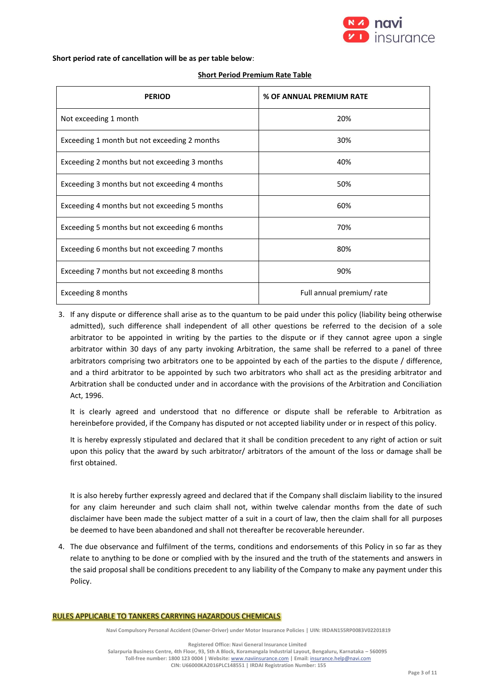

**Short period rate of cancellation will be as per table below**:

| <b>Short Period Premium Rate Table</b> |
|----------------------------------------|
|----------------------------------------|

| <b>PERIOD</b>                                 | % OF ANNUAL PREMIUM RATE  |
|-----------------------------------------------|---------------------------|
| Not exceeding 1 month                         | 20%                       |
| Exceeding 1 month but not exceeding 2 months  | 30%                       |
| Exceeding 2 months but not exceeding 3 months | 40%                       |
| Exceeding 3 months but not exceeding 4 months | 50%                       |
| Exceeding 4 months but not exceeding 5 months | 60%                       |
| Exceeding 5 months but not exceeding 6 months | 70%                       |
| Exceeding 6 months but not exceeding 7 months | 80%                       |
| Exceeding 7 months but not exceeding 8 months | 90%                       |
| Exceeding 8 months                            | Full annual premium/ rate |

3. If any dispute or difference shall arise as to the quantum to be paid under this policy (liability being otherwise admitted), such difference shall independent of all other questions be referred to the decision of a sole arbitrator to be appointed in writing by the parties to the dispute or if they cannot agree upon a single arbitrator within 30 days of any party invoking Arbitration, the same shall be referred to a panel of three arbitrators comprising two arbitrators one to be appointed by each of the parties to the dispute / difference, and a third arbitrator to be appointed by such two arbitrators who shall act as the presiding arbitrator and Arbitration shall be conducted under and in accordance with the provisions of the Arbitration and Conciliation Act, 1996.

It is clearly agreed and understood that no difference or dispute shall be referable to Arbitration as hereinbefore provided, if the Company has disputed or not accepted liability under or in respect of this policy.

It is hereby expressly stipulated and declared that it shall be condition precedent to any right of action or suit upon this policy that the award by such arbitrator/ arbitrators of the amount of the loss or damage shall be first obtained.

It is also hereby further expressly agreed and declared that if the Company shall disclaim liability to the insured for any claim hereunder and such claim shall not, within twelve calendar months from the date of such disclaimer have been made the subject matter of a suit in a court of law, then the claim shall for all purposes be deemed to have been abandoned and shall not thereafter be recoverable hereunder.

4. The due observance and fulfilment of the terms, conditions and endorsements of this Policy in so far as they relate to anything to be done or complied with by the insured and the truth of the statements and answers in the said proposal shall be conditions precedent to any liability of the Company to make any payment under this Policy.

#### RULES APPLICABLE TO TANKERS CARRYING HAZARDOUS CHEMICALS

**Navi Compulsory Personal Accident (Owner-Driver) under Motor Insurance Policies | UIN: IRDAN155RP0083V02201819**

**Registered Office: Navi General Insurance Limited**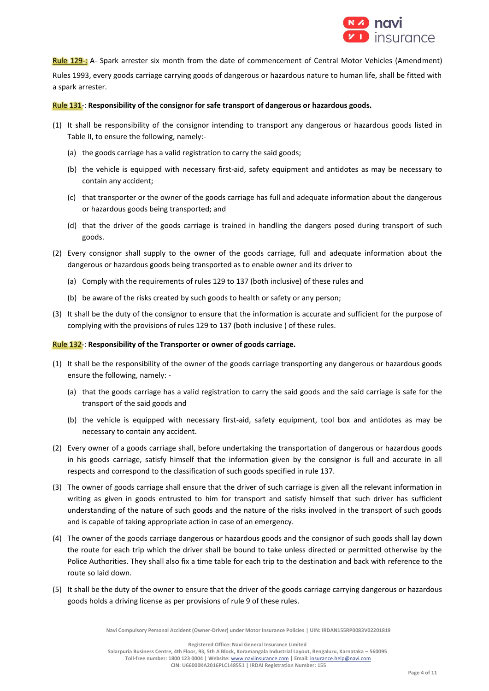

Rule 129-: A- Spark arrester six month from the date of commencement of Central Motor Vehicles (Amendment) Rules 1993, every goods carriage carrying goods of dangerous or hazardous nature to human life, shall be fitted with a spark arrester.

## Rule 131-: **Responsibility of the consignor for safe transport of dangerous or hazardous goods.**

- (1) It shall be responsibility of the consignor intending to transport any dangerous or hazardous goods listed in Table II, to ensure the following, namely:-
	- (a) the goods carriage has a valid registration to carry the said goods;
	- (b) the vehicle is equipped with necessary first-aid, safety equipment and antidotes as may be necessary to contain any accident;
	- (c) that transporter or the owner of the goods carriage has full and adequate information about the dangerous or hazardous goods being transported; and
	- (d) that the driver of the goods carriage is trained in handling the dangers posed during transport of such goods.
- (2) Every consignor shall supply to the owner of the goods carriage, full and adequate information about the dangerous or hazardous goods being transported as to enable owner and its driver to
	- (a) Comply with the requirements of rules 129 to 137 (both inclusive) of these rules and
	- (b) be aware of the risks created by such goods to health or safety or any person;
- (3) It shall be the duty of the consignor to ensure that the information is accurate and sufficient for the purpose of complying with the provisions of rules 129 to 137 (both inclusive ) of these rules.

#### Rule 132-: **Responsibility of the Transporter or owner of goods carriage.**

- (1) It shall be the responsibility of the owner of the goods carriage transporting any dangerous or hazardous goods ensure the following, namely: -
	- (a) that the goods carriage has a valid registration to carry the said goods and the said carriage is safe for the transport of the said goods and
	- (b) the vehicle is equipped with necessary first-aid, safety equipment, tool box and antidotes as may be necessary to contain any accident.
- (2) Every owner of a goods carriage shall, before undertaking the transportation of dangerous or hazardous goods in his goods carriage, satisfy himself that the information given by the consignor is full and accurate in all respects and correspond to the classification of such goods specified in rule 137.
- (3) The owner of goods carriage shall ensure that the driver of such carriage is given all the relevant information in writing as given in goods entrusted to him for transport and satisfy himself that such driver has sufficient understanding of the nature of such goods and the nature of the risks involved in the transport of such goods and is capable of taking appropriate action in case of an emergency.
- (4) The owner of the goods carriage dangerous or hazardous goods and the consignor of such goods shall lay down the route for each trip which the driver shall be bound to take unless directed or permitted otherwise by the Police Authorities. They shall also fix a time table for each trip to the destination and back with reference to the route so laid down.
- (5) It shall be the duty of the owner to ensure that the driver of the goods carriage carrying dangerous or hazardous goods holds a driving license as per provisions of rule 9 of these rules.

**Navi Compulsory Personal Accident (Owner-Driver) under Motor Insurance Policies | UIN: IRDAN155RP0083V02201819**

**Registered Office: Navi General Insurance Limited**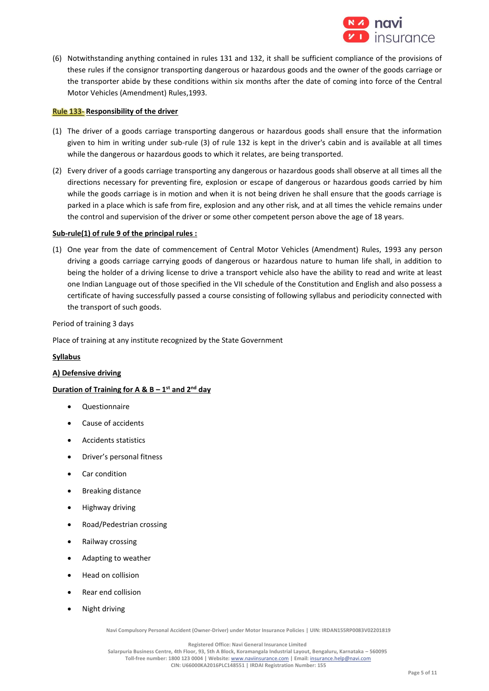

(6) Notwithstanding anything contained in rules 131 and 132, it shall be sufficient compliance of the provisions of these rules if the consignor transporting dangerous or hazardous goods and the owner of the goods carriage or the transporter abide by these conditions within six months after the date of coming into force of the Central Motor Vehicles (Amendment) Rules,1993.

## Rule 133- **Responsibility of the driver**

- (1) The driver of a goods carriage transporting dangerous or hazardous goods shall ensure that the information given to him in writing under sub-rule (3) of rule 132 is kept in the driver's cabin and is available at all times while the dangerous or hazardous goods to which it relates, are being transported.
- (2) Every driver of a goods carriage transporting any dangerous or hazardous goods shall observe at all times all the directions necessary for preventing fire, explosion or escape of dangerous or hazardous goods carried by him while the goods carriage is in motion and when it is not being driven he shall ensure that the goods carriage is parked in a place which is safe from fire, explosion and any other risk, and at all times the vehicle remains under the control and supervision of the driver or some other competent person above the age of 18 years.

#### **Sub-rule(1) of rule 9 of the principal rules :**

(1) One year from the date of commencement of Central Motor Vehicles (Amendment) Rules, 1993 any person driving a goods carriage carrying goods of dangerous or hazardous nature to human life shall, in addition to being the holder of a driving license to drive a transport vehicle also have the ability to read and write at least one Indian Language out of those specified in the VII schedule of the Constitution and English and also possess a certificate of having successfully passed a course consisting of following syllabus and periodicity connected with the transport of such goods.

Period of training 3 days

Place of training at any institute recognized by the State Government

## **Syllabus**

#### **A) Defensive driving**

## **Duration of Training for A & B – 1 st and 2nd day**

- Questionnaire
- Cause of accidents
- Accidents statistics
- Driver's personal fitness
- Car condition
- Breaking distance
- Highway driving
- Road/Pedestrian crossing
- Railway crossing
- Adapting to weather
- Head on collision
- Rear end collision
- Night driving

**Navi Compulsory Personal Accident (Owner-Driver) under Motor Insurance Policies | UIN: IRDAN155RP0083V02201819**

**Registered Office: Navi General Insurance Limited**

**Salarpuria Business Centre, 4th Floor, 93, 5th A Block, Koramangala Industrial Layout, Bengaluru, Karnataka – 560095 Toll-free number: 1800 123 0004 | Website:** [www.naviinsurance.com](http://www.naviinsurance.com/) **| Email:** [insurance.help@navi.com](mailto:insurance.help@navi.com)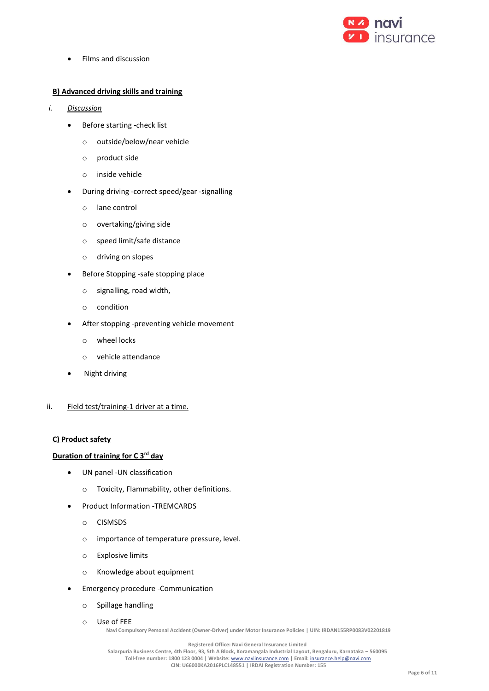

• Films and discussion

## **B) Advanced driving skills and training**

- *i. Discussion*
	- Before starting -check list
		- o outside/below/near vehicle
		- o product side
		- o inside vehicle
	- During driving -correct speed/gear -signalling
		- o lane control
		- o overtaking/giving side
		- o speed limit/safe distance
		- o driving on slopes
	- Before Stopping -safe stopping place
		- o signalling, road width,
		- o condition
	- After stopping -preventing vehicle movement
		- o wheel locks
		- o vehicle attendance
	- Night driving
- ii. Field test/training-1 driver at a time.

## **C) Product safety**

## **Duration of training for C 3rd day**

- UN panel -UN classification
	- o Toxicity, Flammability, other definitions.
- Product Information -TREMCARDS
	- o CISMSDS
	- o importance of temperature pressure, level.
	- o Explosive limits
	- o Knowledge about equipment
- Emergency procedure -Communication
	- o Spillage handling
	- o Use of FEE

**Navi Compulsory Personal Accident (Owner-Driver) under Motor Insurance Policies | UIN: IRDAN155RP0083V02201819**

**Registered Office: Navi General Insurance Limited**

**Salarpuria Business Centre, 4th Floor, 93, 5th A Block, Koramangala Industrial Layout, Bengaluru, Karnataka – 560095 Toll-free number: 1800 123 0004 | Website:** [www.naviinsurance.com](http://www.naviinsurance.com/) **| Email:** [insurance.help@navi.com](mailto:insurance.help@navi.com)

**CIN: U66000KA2016PLC148551 | IRDAI Registration Number: 155**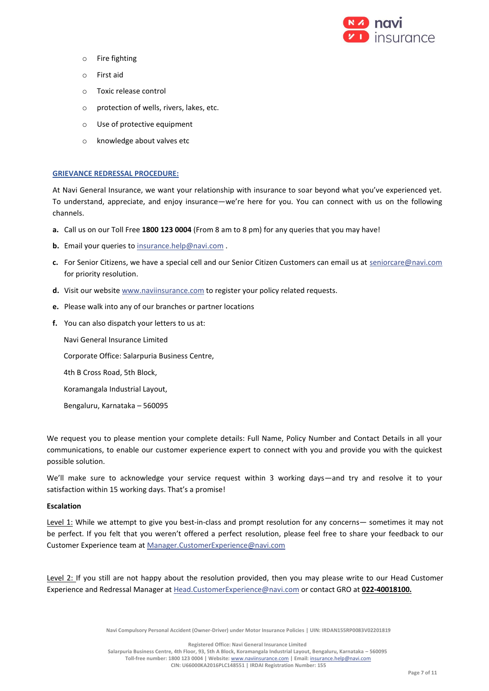

- o Fire fighting
- o First aid
- o Toxic release control
- o protection of wells, rivers, lakes, etc.
- o Use of protective equipment
- o knowledge about valves etc

## **GRIEVANCE REDRESSAL PROCEDURE:**

At Navi General Insurance, we want your relationship with insurance to soar beyond what you've experienced yet. To understand, appreciate, and enjoy insurance—we're here for you. You can connect with us on the following channels.

- **a.** Call us on our Toll Free **1800 123 0004** (From 8 am to 8 pm) for any queries that you may have!
- **b.** Email your queries to [insurance.help@navi.com](mailto:insurance.help@navi.com) .
- **c.** For Senior Citizens, we have a special cell and our Senior Citizen Customers can email us at [seniorcare@navi.com](mailto:seniorcare@navi.com) for priority resolution.
- **d.** Visit our websit[e www.naviinsurance.com](http://www.naviinsurance.com/) to register your policy related requests.
- **e.** Please walk into any of our branches or partner locations
- **f.** You can also dispatch your letters to us at:

Navi General Insurance Limited

Corporate Office: Salarpuria Business Centre,

- 4th B Cross Road, 5th Block,
- Koramangala Industrial Layout,
- Bengaluru, Karnataka 560095

We request you to please mention your complete details: Full Name, Policy Number and Contact Details in all your communications, to enable our customer experience expert to connect with you and provide you with the quickest possible solution.

We'll make sure to acknowledge your service request within 3 working days—and try and resolve it to your satisfaction within 15 working days. That's a promise!

## **Escalation**

Level 1: While we attempt to give you best-in-class and prompt resolution for any concerns— sometimes it may not be perfect. If you felt that you weren't offered a perfect resolution, please feel free to share your feedback to our Customer Experience team at [Manager.CustomerExperience@navi.com](mailto:Manager.CustomerExperience@navi.com)

Level 2: If you still are not happy about the resolution provided, then you may please write to our Head Customer Experience and Redressal Manager at [Head.CustomerExperience@navi.com](mailto:Head.CustomerExperience@navi.com) or contact GRO at **022-40018100.**

**Navi Compulsory Personal Accident (Owner-Driver) under Motor Insurance Policies | UIN: IRDAN155RP0083V02201819**

**Registered Office: Navi General Insurance Limited**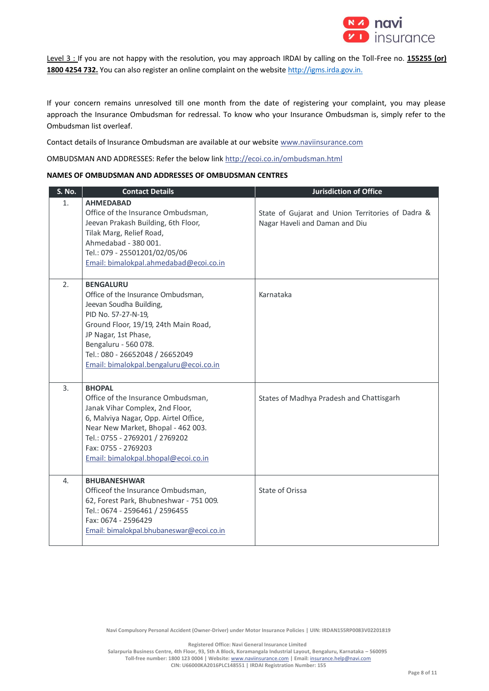

Level 3 : If you are not happy with the resolution, you may approach IRDAI by calling on the Toll-Free no. **155255 (or) 1800 4254 732.** You can also register an online complaint on the websit[e http://igms.irda.gov.in.](http://igms.irda.gov.in/)

If your concern remains unresolved till one month from the date of registering your complaint, you may please approach the Insurance Ombudsman for redressal. To know who your Insurance Ombudsman is, simply refer to the Ombudsman list overleaf.

Contact details of Insurance Ombudsman are available at our websit[e www.naviinsurance.com](http://www.naviinsurance.com/)

OMBUDSMAN AND ADDRESSES: Refer the below link <http://ecoi.co.in/ombudsman.html>

## **NAMES OF OMBUDSMAN AND ADDRESSES OF OMBUDSMAN CENTRES**

| S. No. | <b>Contact Details</b>                                                                                                                                                                                                                                                        | <b>Jurisdiction of Office</b>                                                       |
|--------|-------------------------------------------------------------------------------------------------------------------------------------------------------------------------------------------------------------------------------------------------------------------------------|-------------------------------------------------------------------------------------|
| 1.     | <b>AHMEDABAD</b><br>Office of the Insurance Ombudsman,<br>Jeevan Prakash Building, 6th Floor,<br>Tilak Marg, Relief Road,<br>Ahmedabad - 380 001.<br>Tel.: 079 - 25501201/02/05/06<br>Email: bimalokpal.ahmedabad@ecoi.co.in                                                  | State of Gujarat and Union Territories of Dadra &<br>Nagar Haveli and Daman and Diu |
| 2.     | <b>BENGALURU</b><br>Office of the Insurance Ombudsman,<br>Jeevan Soudha Building,<br>PID No. 57-27-N-19,<br>Ground Floor, 19/19, 24th Main Road,<br>JP Nagar, 1st Phase,<br>Bengaluru - 560 078.<br>Tel.: 080 - 26652048 / 26652049<br>Email: bimalokpal.bengaluru@ecoi.co.in | Karnataka                                                                           |
| 3.     | <b>BHOPAL</b><br>Office of the Insurance Ombudsman,<br>Janak Vihar Complex, 2nd Floor,<br>6, Malviya Nagar, Opp. Airtel Office,<br>Near New Market, Bhopal - 462 003.<br>Tel.: 0755 - 2769201 / 2769202<br>Fax: 0755 - 2769203<br>Email: bimalokpal.bhopal@ecoi.co.in         | States of Madhya Pradesh and Chattisgarh                                            |
| 4.     | <b>BHUBANESHWAR</b><br>Officeof the Insurance Ombudsman,<br>62, Forest Park, Bhubneshwar - 751 009.<br>Tel.: 0674 - 2596461 / 2596455<br>Fax: 0674 - 2596429<br>Email: bimalokpal.bhubaneswar@ecoi.co.in                                                                      | State of Orissa                                                                     |

**Navi Compulsory Personal Accident (Owner-Driver) under Motor Insurance Policies | UIN: IRDAN155RP0083V02201819**

**Registered Office: Navi General Insurance Limited**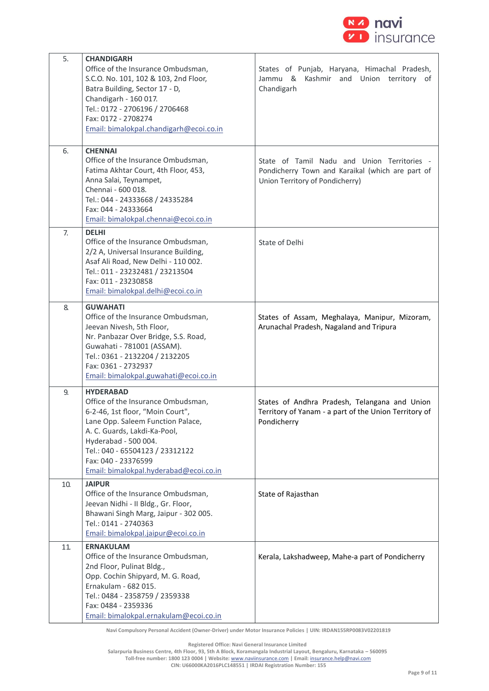

| 5.  | <b>CHANDIGARH</b>                                                                                                                                                                                                                                                                           |                                                                                                                                    |
|-----|---------------------------------------------------------------------------------------------------------------------------------------------------------------------------------------------------------------------------------------------------------------------------------------------|------------------------------------------------------------------------------------------------------------------------------------|
|     | Office of the Insurance Ombudsman,<br>S.C.O. No. 101, 102 & 103, 2nd Floor,<br>Batra Building, Sector 17 - D,<br>Chandigarh - 160 017.<br>Tel.: 0172 - 2706196 / 2706468                                                                                                                    | States of Punjab, Haryana, Himachal Pradesh,<br>Jammu & Kashmir and Union territory of<br>Chandigarh                               |
|     | Fax: 0172 - 2708274<br>Email: bimalokpal.chandigarh@ecoi.co.in                                                                                                                                                                                                                              |                                                                                                                                    |
| 6.  | <b>CHENNAI</b><br>Office of the Insurance Ombudsman,<br>Fatima Akhtar Court, 4th Floor, 453,<br>Anna Salai, Teynampet,<br>Chennai - 600 018.<br>Tel.: 044 - 24333668 / 24335284<br>Fax: 044 - 24333664<br>Email: bimalokpal.chennai@ecoi.co.in                                              | State of Tamil Nadu and Union Territories -<br>Pondicherry Town and Karaikal (which are part of<br>Union Territory of Pondicherry) |
| 7.  | <b>DELHI</b><br>Office of the Insurance Ombudsman,<br>2/2 A, Universal Insurance Building,<br>Asaf Ali Road, New Delhi - 110 002.<br>Tel.: 011 - 23232481 / 23213504<br>Fax: 011 - 23230858<br>Email: bimalokpal.delhi@ecoi.co.in                                                           | State of Delhi                                                                                                                     |
| 8.  | <b>GUWAHATI</b><br>Office of the Insurance Ombudsman,<br>Jeevan Nivesh, 5th Floor,<br>Nr. Panbazar Over Bridge, S.S. Road,<br>Guwahati - 781001 (ASSAM).<br>Tel.: 0361 - 2132204 / 2132205<br>Fax: 0361 - 2732937<br>Email: bimalokpal.guwahati@ecoi.co.in                                  | States of Assam, Meghalaya, Manipur, Mizoram,<br>Arunachal Pradesh, Nagaland and Tripura                                           |
| 9.  | <b>HYDERABAD</b><br>Office of the Insurance Ombudsman,<br>6-2-46, 1st floor, "Moin Court",<br>Lane Opp. Saleem Function Palace,<br>A. C. Guards, Lakdi-Ka-Pool,<br>Hyderabad - 500 004.<br>Tel.: 040 - 65504123 / 23312122<br>Fax: 040 - 23376599<br>Email: bimalokpal.hyderabad@ecoi.co.in | States of Andhra Pradesh, Telangana and Union<br>Territory of Yanam - a part of the Union Territory of<br>Pondicherry              |
| 10. | <b>JAIPUR</b><br>Office of the Insurance Ombudsman,<br>Jeevan Nidhi - II Bldg., Gr. Floor,<br>Bhawani Singh Marg, Jaipur - 302 005.<br>Tel.: 0141 - 2740363<br>Email: bimalokpal.jaipur@ecoi.co.in                                                                                          | State of Rajasthan                                                                                                                 |
| 11  | <b>ERNAKULAM</b><br>Office of the Insurance Ombudsman,<br>2nd Floor, Pulinat Bldg.,<br>Opp. Cochin Shipyard, M. G. Road,<br>Ernakulam - 682 015.<br>Tel.: 0484 - 2358759 / 2359338<br>Fax: 0484 - 2359336<br>Email: bimalokpal.ernakulam@ecoi.co.in                                         | Kerala, Lakshadweep, Mahe-a part of Pondicherry                                                                                    |

**Navi Compulsory Personal Accident (Owner-Driver) under Motor Insurance Policies | UIN: IRDAN155RP0083V02201819**

**Registered Office: Navi General Insurance Limited**

**Salarpuria Business Centre, 4th Floor, 93, 5th A Block, Koramangala Industrial Layout, Bengaluru, Karnataka – 560095**

**Toll-free number: 1800 123 0004 | Website:** [www.naviinsurance.com](http://www.naviinsurance.com/) **| Email:** [insurance.help@navi.com](mailto:insurance.help@navi.com)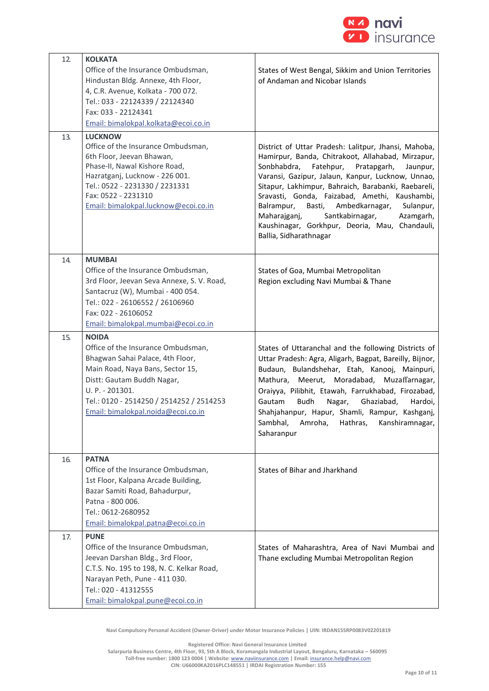

| 12. | <b>KOLKATA</b><br>Office of the Insurance Ombudsman,<br>Hindustan Bldg. Annexe, 4th Floor,<br>4, C.R. Avenue, Kolkata - 700 072.<br>Tel.: 033 - 22124339 / 22124340<br>Fax: 033 - 22124341<br>Email: bimalokpal.kolkata@ecoi.co.in                            | States of West Bengal, Sikkim and Union Territories<br>of Andaman and Nicobar Islands                                                                                                                                                                                                                                                                                                                                                                                                                            |
|-----|---------------------------------------------------------------------------------------------------------------------------------------------------------------------------------------------------------------------------------------------------------------|------------------------------------------------------------------------------------------------------------------------------------------------------------------------------------------------------------------------------------------------------------------------------------------------------------------------------------------------------------------------------------------------------------------------------------------------------------------------------------------------------------------|
| 13. | <b>LUCKNOW</b><br>Office of the Insurance Ombudsman,<br>6th Floor, Jeevan Bhawan,<br>Phase-II, Nawal Kishore Road,<br>Hazratganj, Lucknow - 226 001.<br>Tel.: 0522 - 2231330 / 2231331<br>Fax: 0522 - 2231310<br>Email: bimalokpal.lucknow@ecoi.co.in         | District of Uttar Pradesh: Lalitpur, Jhansi, Mahoba,<br>Hamirpur, Banda, Chitrakoot, Allahabad, Mirzapur,<br>Sonbhabdra,<br>Fatehpur,<br>Pratapgarh,<br>Jaunpur,<br>Varansi, Gazipur, Jalaun, Kanpur, Lucknow, Unnao,<br>Sitapur, Lakhimpur, Bahraich, Barabanki, Raebareli,<br>Sravasti, Gonda, Faizabad, Amethi, Kaushambi,<br>Basti,<br>Ambedkarnagar,<br>Balrampur,<br>Sulanpur,<br>Maharajganj,<br>Santkabirnagar,<br>Azamgarh,<br>Kaushinagar, Gorkhpur, Deoria, Mau, Chandauli,<br>Ballia, Sidharathnagar |
| 14. | <b>MUMBAI</b><br>Office of the Insurance Ombudsman,<br>3rd Floor, Jeevan Seva Annexe, S. V. Road,<br>Santacruz (W), Mumbai - 400 054.<br>Tel.: 022 - 26106552 / 26106960<br>Fax: 022 - 26106052<br>Email: bimalokpal.mumbai@ecoi.co.in                        | States of Goa, Mumbai Metropolitan<br>Region excluding Navi Mumbai & Thane                                                                                                                                                                                                                                                                                                                                                                                                                                       |
| 15. | <b>NOIDA</b><br>Office of the Insurance Ombudsman,<br>Bhagwan Sahai Palace, 4th Floor,<br>Main Road, Naya Bans, Sector 15,<br>Distt: Gautam Buddh Nagar,<br>U. P. - 201301.<br>Tel.: 0120 - 2514250 / 2514252 / 2514253<br>Email: bimalokpal.noida@ecoi.co.in | States of Uttaranchal and the following Districts of<br>Uttar Pradesh: Agra, Aligarh, Bagpat, Bareilly, Bijnor,<br>Budaun, Bulandshehar, Etah, Kanooj, Mainpuri,<br>Mathura, Meerut, Moradabad, Muzaffarnagar,<br>Oraiyya, Pilibhit, Etawah, Farrukhabad, Firozabad,<br>Budh<br>Nagar,<br>Ghaziabad,<br>Gautam<br>Hardoi,<br>Shahjahanpur, Hapur, Shamli, Rampur, Kashganj,<br>Sambhal,<br>Amroha,<br>Kanshiramnagar,<br>Hathras,<br>Saharanpur                                                                  |
| 16. | <b>PATNA</b><br>Office of the Insurance Ombudsman,<br>1st Floor, Kalpana Arcade Building,<br>Bazar Samiti Road, Bahadurpur,<br>Patna - 800 006.<br>Tel.: 0612-2680952<br>Email: bimalokpal.patna@ecoi.co.in                                                   | States of Bihar and Jharkhand                                                                                                                                                                                                                                                                                                                                                                                                                                                                                    |
| 17. | <b>PUNE</b><br>Office of the Insurance Ombudsman,<br>Jeevan Darshan Bldg., 3rd Floor,<br>C.T.S. No. 195 to 198, N. C. Kelkar Road,<br>Narayan Peth, Pune - 411 030.<br>Tel.: 020 - 41312555<br>Email: bimalokpal.pune@ecoi.co.in                              | States of Maharashtra, Area of Navi Mumbai and<br>Thane excluding Mumbai Metropolitan Region                                                                                                                                                                                                                                                                                                                                                                                                                     |

**Navi Compulsory Personal Accident (Owner-Driver) under Motor Insurance Policies | UIN: IRDAN155RP0083V02201819**

**Registered Office: Navi General Insurance Limited**

**Salarpuria Business Centre, 4th Floor, 93, 5th A Block, Koramangala Industrial Layout, Bengaluru, Karnataka – 560095 Toll-free number: 1800 123 0004 | Website:** [www.naviinsurance.com](http://www.naviinsurance.com/) **| Email:** [insurance.help@navi.com](mailto:insurance.help@navi.com)

**CIN: U66000KA2016PLC148551 | IRDAI Registration Number: 155**